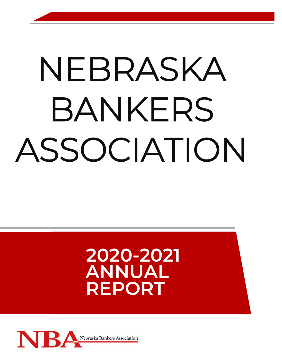# NEBRASKA BANKERS ASSOCIATION

## **2020-2021 ANNUAL REPORT**

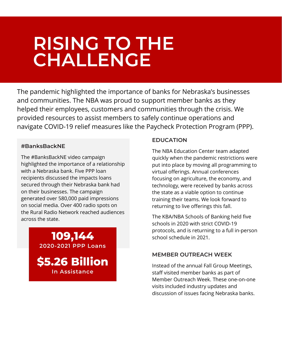### **\$13,000** IN SCHOLARSHIPS A **RISING TO THE CHALLENGE**

The pandemic highlighted the importance of banks for Nebraska's businesses and communities. The NBA was proud to support member banks as they helped their employees, customers and communities through the crisis. We provided resources to assist members to safely continue operations and navigate COVID-19 relief measures like the Paycheck Protection Program (PPP).

### **#BanksBackNE**

The #BanksBackNE video campaign highlighted the importance of a relationship with a Nebraska bank. Five PPP loan recipients discussed the impacts loans secured through their Nebraska bank had on their businesses. The campaign generated over 580,000 paid impressions on social media. Over 400 radio spots on the Rural Radio Network reached audiences across the state.

### **109,144 2020-2021 PPP Loans**

**\$5.26 Billion In Assistance**

#### **EDUCATION**

The NBA Education Center team adapted quickly when the pandemic restrictions were put into place by moving all programming to virtual offerings. Annual conferences focusing on agriculture, the economy, and technology, were received by banks across the state as a viable option to continue training their teams. We look forward to returning to live offerings this fall.

The KBA/NBA Schools of Banking held five schools in 2020 with strict COVID-19 protocols, and is returning to a full in-person school schedule in 2021.

### **MEMBER OUTREACH WEEK**

Instead of the annual Fall Group Meetings, staff visited member banks as part of Member Outreach Week. These one-on-one visits included industry updates and discussion of issues facing Nebraska banks.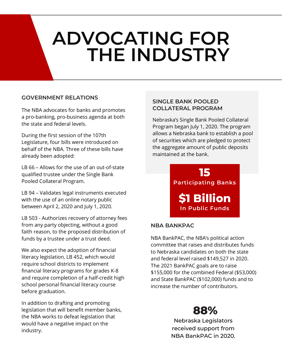# **ADVOCATING FOR THE INDUSTRY**

### **GOVERNMENT RELATIONS**

The NBA advocates for banks and promotes a pro-banking, pro-business agenda at both the state and federal levels.

During the first session of the 107th Legislature, four bills were introduced on behalf of the NBA. Three of these bills have already been adopted:

LB 66 – Allows for the use of an out-of-state qualified trustee under the Single Bank Pooled Collateral Program.

LB 94 – Validates legal instruments executed with the use of an online notary public between April 2, 2020 and July 1, 2020.

LB 503 - Authorizes recovery of attorney fees from any party objecting, without a good faith reason, to the proposed distribution of funds by a trustee under a trust deed.

We also expect the adoption of financial literacy legislation, LB 452, which would require school districts to implement financial literacy programs for grades K-8 and require completion of a half-credit high school personal financial literacy course before graduation.

In addition to drafting and promoting legislation that will benefit member banks, the NBA works to defeat legislation that would have a negative impact on the industry.

### **SINGLE BANK POOLED COLLATERAL PROGRAM**

Nebraska's Single Bank Pooled Collateral Program began July 1, 2020. The program allows a Nebraska bank to establish a pool of securities which are pledged to protect the aggregate amount of public deposits maintained at the bank.



### **NBA BANKPAC**

NBA BankPAC, the NBA's political action committee that raises and distributes funds to Nebraska candidates on both the state and federal level raised \$149,527 in 2020. The 2021 BankPAC goals are to raise \$155,000 for the combined Federal (\$53,000) and State BankPAC (\$102,000) funds and to increase the number of contributors.

### **88%**

Nebraska Legislators received support from NBA BankPAC in 2020.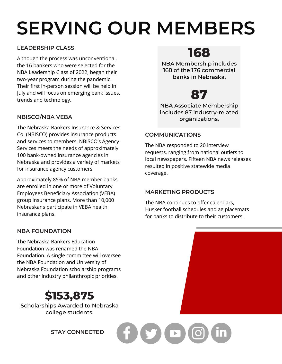# **SERVING OUR MEMBERS**

### **LEADERSHIP CLASS**

Although the process was unconventional, the 16 bankers who were selected for the NBA Leadership Class of 2022, began their two-year program during the pandemic. Their first in-person session will be held in July and will focus on emerging bank issues, trends and technology.

### **NBISCO/NBA VEBA**

The Nebraska Bankers Insurance & Services Co. (NBISCO) provides insurance products and services to members. NBISCO's Agency Services meets the needs of approximately 100 bank-owned insurance agencies in Nebraska and provides a variety of markets for insurance agency customers.

Approximately 85% of NBA member banks are enrolled in one or more of Voluntary Employees Beneficiary Association (VEBA) group insurance plans. More than 10,000 Nebraskans participate in VEBA health insurance plans.

### **NBA FOUNDATION**

The Nebraska Bankers Education Foundation was renamed the NBA Foundation. A single committee will oversee the NBA Foundation and University of Nebraska Foundation scholarship programs and other industry philanthropic priorities.

### **\$153,875**

Scholarships Awarded to Nebraska college students.

**STAY CONNECTED**

**168**

NBA Membership includes 168 of the 176 commercial banks in Nebraska.

### **87**

NBA Associate Membership includes 87 industry-related organizations.

### **COMMUNICATIONS**

The NBA responded to 20 interview requests, ranging from national outlets to local newspapers. Fifteen NBA news releases resulted in positive statewide media coverage.

### **MARKETING PRODUCTS**

The NBA continues to offer calendars, Husker football schedules and ag placemats for banks to distribute to their customers.